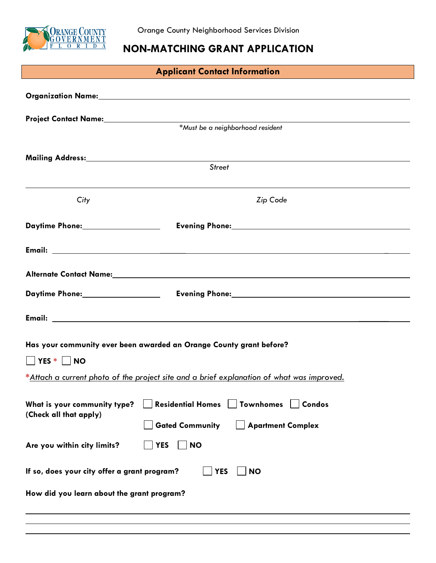

# **NON-MATCHING GRANT APPLICATION**

| <b>Applicant Contact Information</b>                                                          |                                                                                                                 |  |
|-----------------------------------------------------------------------------------------------|-----------------------------------------------------------------------------------------------------------------|--|
|                                                                                               |                                                                                                                 |  |
|                                                                                               |                                                                                                                 |  |
|                                                                                               | <u> 1980 - Johann Barbara, martxa alemaniar amerikan a</u><br>*Must be a neighborhood resident                  |  |
|                                                                                               |                                                                                                                 |  |
|                                                                                               | <b>Street</b>                                                                                                   |  |
|                                                                                               |                                                                                                                 |  |
| City                                                                                          | Zip Code                                                                                                        |  |
| Daytime Phone: 1997                                                                           |                                                                                                                 |  |
|                                                                                               |                                                                                                                 |  |
|                                                                                               | Alternate Contact Name: Name: Name: Name and Alternative Contact Alternative Contact Name: Name and Alternative |  |
|                                                                                               |                                                                                                                 |  |
|                                                                                               |                                                                                                                 |  |
|                                                                                               |                                                                                                                 |  |
|                                                                                               | Has your community ever been awarded an Orange County grant before?                                             |  |
| $\Box$ YES $*$ $\Box$ NO                                                                      |                                                                                                                 |  |
| *Attach a current photo of the project site and a brief explanation of what was improved.     |                                                                                                                 |  |
| <b>Residential Homes</b><br><b>Townhomes</b><br><b>Condos</b><br>What is your community type? |                                                                                                                 |  |
| (Check all that apply)                                                                        | <b>Gated Community</b><br><b>Apartment Complex</b>                                                              |  |
| Are you within city limits?                                                                   | <b>YES</b><br><b>NO</b>                                                                                         |  |
| If so, does your city offer a grant program?<br><b>YES</b><br><b>NO</b>                       |                                                                                                                 |  |
| How did you learn about the grant program?                                                    |                                                                                                                 |  |
|                                                                                               |                                                                                                                 |  |
|                                                                                               |                                                                                                                 |  |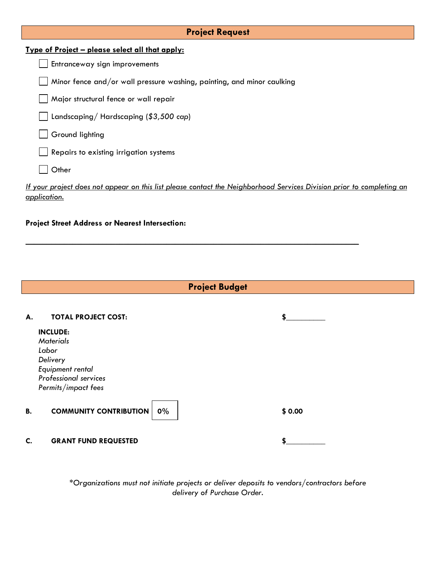| <b>Project Request</b>                                                                                                |  |  |
|-----------------------------------------------------------------------------------------------------------------------|--|--|
| <u>Type of Project – please select all that apply:</u>                                                                |  |  |
| Entranceway sign improvements                                                                                         |  |  |
| Minor fence and/or wall pressure washing, painting, and minor caulking                                                |  |  |
| Major structural fence or wall repair                                                                                 |  |  |
| Landscaping/Hardscaping (\$3,500 cap)                                                                                 |  |  |
| Ground lighting                                                                                                       |  |  |
| Repairs to existing irrigation systems                                                                                |  |  |
| Other                                                                                                                 |  |  |
| If your project does not appear on this list please contact the Neighborhood Services Division prior to completing an |  |  |

*application.* 

\_\_\_\_\_\_\_\_\_\_\_\_\_\_\_\_\_\_\_\_\_\_\_\_\_\_\_\_\_\_\_\_\_\_\_\_\_\_\_\_\_\_\_\_\_\_\_\_\_\_\_\_\_\_\_\_\_\_\_\_\_\_\_\_\_\_\_\_\_\_\_\_\_\_\_\_\_\_

### **Project Street Address or Nearest Intersection:**



 *\*Organizations must not initiate projects or deliver deposits to vendors/contractors before delivery of Purchase Order.*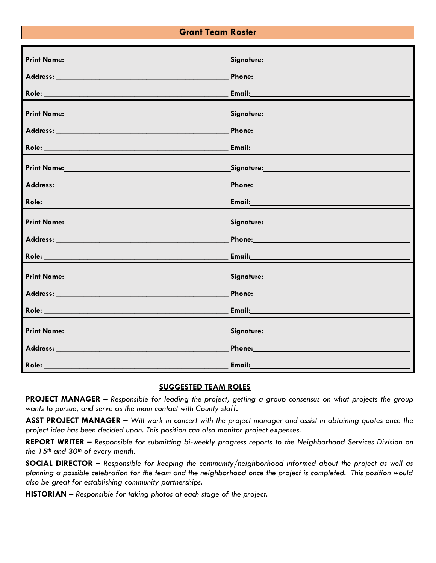## **Grant Team Roster**

| Print Name: Name and Second Contract of the Second Contract of the Second Contract of the Second Contract of the Second Contract of the Second Contract of the Second Contract of the Second Contract of the Second Contract o | Signature: Management Communications                                                                                                                                                                                                |
|--------------------------------------------------------------------------------------------------------------------------------------------------------------------------------------------------------------------------------|-------------------------------------------------------------------------------------------------------------------------------------------------------------------------------------------------------------------------------------|
| Address: No. 1996. The Committee of the Committee of the Committee of the Committee of the Committee of the Committee of the Committee of the Committee of the Committee of the Committee of the Committee of the Committee of | <b>Phone: Contract Contract Contract Contract Contract Contract Contract Contract Contract Contract Contract Contract Contract Contract Contract Contract Contract Contract Contract Contract Contract Contract Contract Contr</b>  |
|                                                                                                                                                                                                                                |                                                                                                                                                                                                                                     |
| Print Name: No. 2008 - Andrew March 2008 - Andrew March 2008                                                                                                                                                                   | Signature: Management Communication of the Signature:                                                                                                                                                                               |
|                                                                                                                                                                                                                                | Phone: Note: The Commission of the Commission of the Commission of the Commission of the Commission of the Commission of the Commission of the Commission of the Commission of the Commission of the Commission of the Commiss      |
|                                                                                                                                                                                                                                |                                                                                                                                                                                                                                     |
|                                                                                                                                                                                                                                |                                                                                                                                                                                                                                     |
|                                                                                                                                                                                                                                | Phone: 2008 2010 2010 2010 2010 2011 2021 2022 2032 2040 2051 2052 2053 2054 2055 2056 2057 2058 2059 2059 205                                                                                                                      |
|                                                                                                                                                                                                                                |                                                                                                                                                                                                                                     |
|                                                                                                                                                                                                                                | Signature: Management Communication of the Signature:                                                                                                                                                                               |
|                                                                                                                                                                                                                                | Phone: New York State State State State State State State State State State State State State State State State State State State State State State State State State State State State State State State State State State St      |
|                                                                                                                                                                                                                                |                                                                                                                                                                                                                                     |
|                                                                                                                                                                                                                                |                                                                                                                                                                                                                                     |
|                                                                                                                                                                                                                                | Phone: New York Street, and the Contract of the Contract of the Contract of the Contract of the Contract of the Contract of the Contract of the Contract of the Contract of the Contract of the Contract of the Contract of th      |
|                                                                                                                                                                                                                                |                                                                                                                                                                                                                                     |
| Print Name: Name and All Print Name and All Print Name and All Print Name and All Print Name and All Print Name                                                                                                                | Signature: Management Communication of the Signature:                                                                                                                                                                               |
|                                                                                                                                                                                                                                | <b>Phone: Example 2019</b>                                                                                                                                                                                                          |
| Role: Andrea Maria de la construcción de la construcción de la construcción de la construcción de la construcción                                                                                                              | <b>Email:</b> Email: All and the second contract of the second contract of the second contract of the second contract of the second contract of the second contract of the second contract of the second contract of the second con |

### **SUGGESTED TEAM ROLES**

**PROJECT MANAGER** *– Responsible for leading the project, getting a group consensus on what projects the group wants to pursue, and serve as the main contact with County staff.*

**ASST PROJECT MANAGER –** *Will work in concert with the project manager and assist in obtaining quotes once the project idea has been decided upon. This position can also monitor project expenses.*

**REPORT WRITER –** *Responsible for submitting bi-weekly progress reports to the Neighborhood Services Division on the 15th and 30th of every month.*

**SOCIAL DIRECTOR –** *Responsible for keeping the community/neighborhood informed about the project as well as planning a possible celebration for the team and the neighborhood once the project is completed. This position would also be great for establishing community partnerships.*

**HISTORIAN –** *Responsible for taking photos at each stage of the project.*